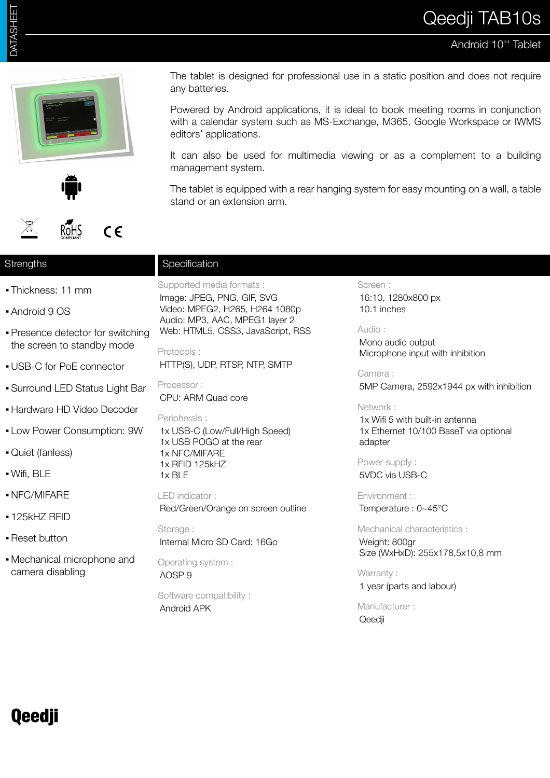## Android 10'' Tablet







The tablet is designed for professional use in a static position and does not require any batteries.

Powered by Android applications, it is ideal to book meeting rooms in conjunction with a calendar system such as MS-Exchange, M365, Google Workspace or IWMS editors' applications.

It can also be used for multimedia viewing or as a complement to a building management system.

The tablet is equipped with a rear hanging system for easy mounting on a wall, a table stand or an extension arm.

### **Strengths**

- Thickness: 11 mm
- Android 9 OS
- **Presence detector for switching** the screen to standby mode
- USB-C for PoE connector
- Surround LED Status Light Bar
- **Hardware HD Video Decoder**
- **.** Low Power Consumption: 9W
- Quiet (fanless)
- Wifi, BLE
- NFC/MIFARE
- **· 125kHZ RFID**
- **Reset button**
- Mechanical microphone and camera disabling

# Supported media formats :

**Specification** 

Image: JPEG, PNG, GIF, SVG Video: MPEG2, H265, H264 1080p Audio: MP3, AAC, MPEG1 layer 2 Web: HTML5, CSS3, JavaScript, RSS

Protocols :

HTTP(S), UDP, RTSP, NTP, SMTP

Processor : CPU: ARM Quad core

Peripherals :

1x USB-C (Low/Full/High Speed) 1x USB POGO at the rear 1x NFC/MIFARE 1x RFID 125kHZ 1x BLE

LED indicator :

Red/Green/Orange on screen outline

Storage : Internal Micro SD Card: 16Go

Operating system : AOSP 9

Software compatibility : Android APK

Screen : 16:10, 1280x800 px 10.1 inches

#### Audio :

Mono audio output Microphone input with inhibition

Camera :

5MP Camera, 2592x1944 px with inhibition

#### Network :

1x Wifi 5 with built-in antenna 1x Ethernet 10/100 BaseT via optional adapter

Power supply : 5VDC via USB-C

Environment : Temperature : 0~45°C

Mechanical characteristics : Weight: 800gr Size (WxHxD): 255x178,5x10,8 mm

Warranty:

1 year (parts and labour)

Manufacturer : Qeedji